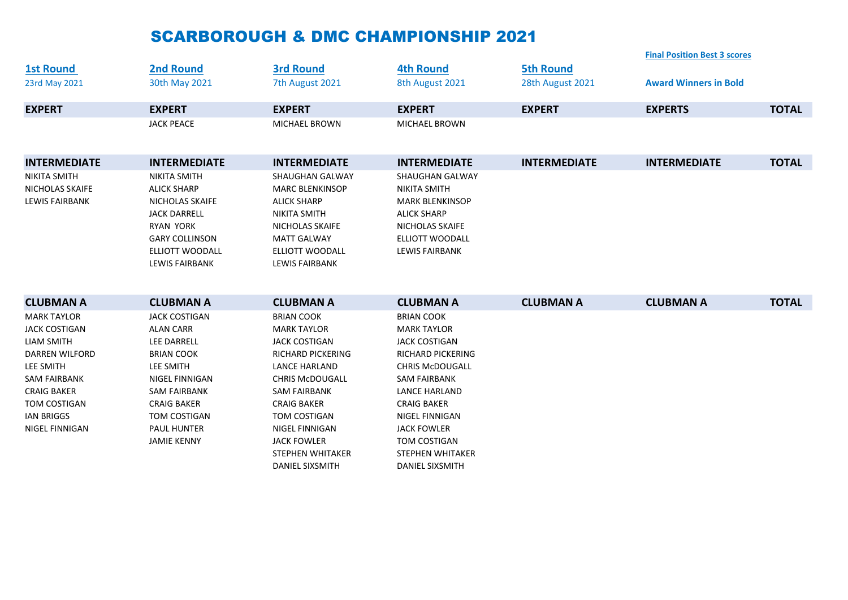## SCARBOROUGH & DMC CHAMPIONSHIP 2021

|                        |                                                 |                                       |                                                 |                     | <b>Final Position Best 3 scores</b> |              |
|------------------------|-------------------------------------------------|---------------------------------------|-------------------------------------------------|---------------------|-------------------------------------|--------------|
| <b>1st Round</b>       | <b>2nd Round</b>                                | <b>3rd Round</b>                      | <b>4th Round</b>                                | <b>5th Round</b>    |                                     |              |
| 23rd May 2021          | 30th May 2021                                   | 7th August 2021                       | 8th August 2021                                 | 28th August 2021    | <b>Award Winners in Bold</b>        |              |
| <b>EXPERT</b>          | <b>EXPERT</b>                                   | <b>EXPERT</b>                         | <b>EXPERT</b>                                   | <b>EXPERT</b>       | <b>EXPERTS</b>                      | <b>TOTAL</b> |
|                        | <b>JACK PEACE</b>                               | <b>MICHAEL BROWN</b>                  | <b>MICHAEL BROWN</b>                            |                     |                                     |              |
| <b>INTERMEDIATE</b>    | <b>INTERMEDIATE</b>                             | <b>INTERMEDIATE</b>                   | <b>INTERMEDIATE</b>                             | <b>INTERMEDIATE</b> | <b>INTERMEDIATE</b>                 | <b>TOTAL</b> |
| <b>NIKITA SMITH</b>    | <b>NIKITA SMITH</b>                             | <b>SHAUGHAN GALWAY</b>                | <b>SHAUGHAN GALWAY</b>                          |                     |                                     |              |
| <b>NICHOLAS SKAIFE</b> | <b>ALICK SHARP</b>                              | <b>MARC BLENKINSOP</b>                | <b>NIKITA SMITH</b>                             |                     |                                     |              |
| <b>LEWIS FAIRBANK</b>  | NICHOLAS SKAIFE                                 | <b>ALICK SHARP</b>                    | <b>MARK BLENKINSOP</b>                          |                     |                                     |              |
|                        | <b>JACK DARRELL</b>                             | <b>NIKITA SMITH</b>                   | <b>ALICK SHARP</b>                              |                     |                                     |              |
|                        | <b>RYAN YORK</b>                                | NICHOLAS SKAIFE                       | NICHOLAS SKAIFE                                 |                     |                                     |              |
|                        | <b>GARY COLLINSON</b><br><b>ELLIOTT WOODALL</b> | <b>MATT GALWAY</b><br>ELLIOTT WOODALL | <b>ELLIOTT WOODALL</b><br><b>LEWIS FAIRBANK</b> |                     |                                     |              |
|                        | <b>LEWIS FAIRBANK</b>                           | <b>LEWIS FAIRBANK</b>                 |                                                 |                     |                                     |              |
|                        |                                                 |                                       |                                                 |                     |                                     |              |
| <b>CLUBMAN A</b>       | <b>CLUBMAN A</b>                                | <b>CLUBMAN A</b>                      | <b>CLUBMAN A</b>                                | <b>CLUBMAN A</b>    | <b>CLUBMAN A</b>                    | <b>TOTAL</b> |
| <b>MARK TAYLOR</b>     | <b>JACK COSTIGAN</b>                            | <b>BRIAN COOK</b>                     | <b>BRIAN COOK</b>                               |                     |                                     |              |
| <b>JACK COSTIGAN</b>   | <b>ALAN CARR</b>                                | <b>MARK TAYLOR</b>                    | <b>MARK TAYLOR</b>                              |                     |                                     |              |
| <b>LIAM SMITH</b>      | LEE DARRELL                                     | <b>JACK COSTIGAN</b>                  | <b>JACK COSTIGAN</b>                            |                     |                                     |              |
| <b>DARREN WILFORD</b>  | <b>BRIAN COOK</b>                               | <b>RICHARD PICKERING</b>              | <b>RICHARD PICKERING</b>                        |                     |                                     |              |
| LEE SMITH              | <b>LEE SMITH</b>                                | <b>LANCE HARLAND</b>                  | <b>CHRIS McDOUGALL</b>                          |                     |                                     |              |
| <b>SAM FAIRBANK</b>    | <b>NIGEL FINNIGAN</b>                           | <b>CHRIS McDOUGALL</b>                | <b>SAM FAIRBANK</b>                             |                     |                                     |              |
| <b>CRAIG BAKER</b>     | <b>SAM FAIRBANK</b>                             | <b>SAM FAIRBANK</b>                   | <b>LANCE HARLAND</b>                            |                     |                                     |              |
| TOM COSTIGAN           | <b>CRAIG BAKER</b>                              | <b>CRAIG BAKER</b>                    | <b>CRAIG BAKER</b>                              |                     |                                     |              |
| <b>IAN BRIGGS</b>      | TOM COSTIGAN                                    | TOM COSTIGAN                          | NIGEL FINNIGAN                                  |                     |                                     |              |
| NIGEL FINNIGAN         | <b>PAUL HUNTER</b>                              | NIGEL FINNIGAN                        | <b>JACK FOWLER</b>                              |                     |                                     |              |
|                        | <b>JAMIE KENNY</b>                              | <b>JACK FOWLER</b>                    | TOM COSTIGAN                                    |                     |                                     |              |
|                        |                                                 | <b>STEPHEN WHITAKER</b>               | <b>STEPHEN WHITAKER</b>                         |                     |                                     |              |
|                        |                                                 | <b>DANIEL SIXSMITH</b>                | <b>DANIEL SIXSMITH</b>                          |                     |                                     |              |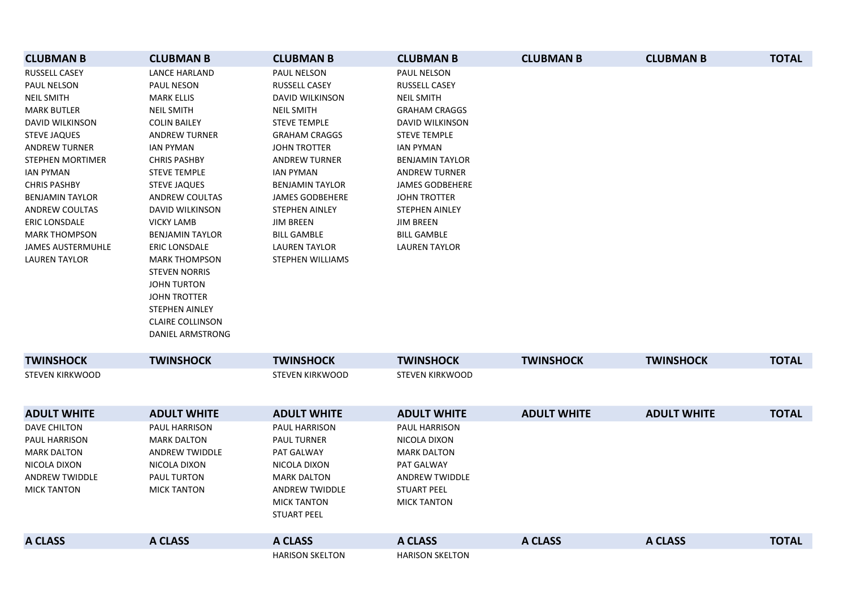| <b>CLUBMAN B</b>         | <b>CLUBMAN B</b>        | <b>CLUBMAN B</b>        | <b>CLUBMAN B</b>       | <b>CLUBMAN B</b>   | <b>CLUBMAN B</b>   | <b>TOTAL</b> |
|--------------------------|-------------------------|-------------------------|------------------------|--------------------|--------------------|--------------|
| <b>RUSSELL CASEY</b>     | <b>LANCE HARLAND</b>    | PAUL NELSON             | PAUL NELSON            |                    |                    |              |
| PAUL NELSON              | PAUL NESON              | RUSSELL CASEY           | RUSSELL CASEY          |                    |                    |              |
| <b>NEIL SMITH</b>        | <b>MARK ELLIS</b>       | DAVID WILKINSON         | <b>NEIL SMITH</b>      |                    |                    |              |
| <b>MARK BUTLER</b>       | <b>NEIL SMITH</b>       | <b>NEIL SMITH</b>       | <b>GRAHAM CRAGGS</b>   |                    |                    |              |
| DAVID WILKINSON          | <b>COLIN BAILEY</b>     | <b>STEVE TEMPLE</b>     | DAVID WILKINSON        |                    |                    |              |
| <b>STEVE JAQUES</b>      | <b>ANDREW TURNER</b>    | <b>GRAHAM CRAGGS</b>    | <b>STEVE TEMPLE</b>    |                    |                    |              |
| <b>ANDREW TURNER</b>     | <b>IAN PYMAN</b>        | <b>JOHN TROTTER</b>     | IAN PYMAN              |                    |                    |              |
| STEPHEN MORTIMER         | <b>CHRIS PASHBY</b>     | <b>ANDREW TURNER</b>    | <b>BENJAMIN TAYLOR</b> |                    |                    |              |
| <b>IAN PYMAN</b>         | <b>STEVE TEMPLE</b>     | <b>IAN PYMAN</b>        | <b>ANDREW TURNER</b>   |                    |                    |              |
| <b>CHRIS PASHBY</b>      | <b>STEVE JAQUES</b>     | <b>BENJAMIN TAYLOR</b>  | <b>JAMES GODBEHERE</b> |                    |                    |              |
| <b>BENJAMIN TAYLOR</b>   | ANDREW COULTAS          | JAMES GODBEHERE         | <b>JOHN TROTTER</b>    |                    |                    |              |
| <b>ANDREW COULTAS</b>    | DAVID WILKINSON         | <b>STEPHEN AINLEY</b>   | <b>STEPHEN AINLEY</b>  |                    |                    |              |
| <b>ERIC LONSDALE</b>     | <b>VICKY LAMB</b>       | <b>JIM BREEN</b>        | <b>JIM BREEN</b>       |                    |                    |              |
| <b>MARK THOMPSON</b>     | <b>BENJAMIN TAYLOR</b>  | <b>BILL GAMBLE</b>      | <b>BILL GAMBLE</b>     |                    |                    |              |
| <b>JAMES AUSTERMUHLE</b> | <b>ERIC LONSDALE</b>    | <b>LAUREN TAYLOR</b>    | <b>LAUREN TAYLOR</b>   |                    |                    |              |
| <b>LAUREN TAYLOR</b>     | <b>MARK THOMPSON</b>    | <b>STEPHEN WILLIAMS</b> |                        |                    |                    |              |
|                          | <b>STEVEN NORRIS</b>    |                         |                        |                    |                    |              |
|                          | <b>JOHN TURTON</b>      |                         |                        |                    |                    |              |
|                          | <b>JOHN TROTTER</b>     |                         |                        |                    |                    |              |
|                          | STEPHEN AINLEY          |                         |                        |                    |                    |              |
|                          | <b>CLAIRE COLLINSON</b> |                         |                        |                    |                    |              |
|                          | DANIEL ARMSTRONG        |                         |                        |                    |                    |              |
| <b>TWINSHOCK</b>         | <b>TWINSHOCK</b>        | <b>TWINSHOCK</b>        | <b>TWINSHOCK</b>       | <b>TWINSHOCK</b>   | <b>TWINSHOCK</b>   | <b>TOTAL</b> |
| <b>STEVEN KIRKWOOD</b>   |                         | <b>STEVEN KIRKWOOD</b>  | <b>STEVEN KIRKWOOD</b> |                    |                    |              |
|                          |                         |                         |                        |                    |                    |              |
|                          |                         |                         |                        |                    |                    |              |
| <b>ADULT WHITE</b>       | <b>ADULT WHITE</b>      | <b>ADULT WHITE</b>      | <b>ADULT WHITE</b>     | <b>ADULT WHITE</b> | <b>ADULT WHITE</b> | <b>TOTAL</b> |
| <b>DAVE CHILTON</b>      | PAUL HARRISON           | PAUL HARRISON           | PAUL HARRISON          |                    |                    |              |
| <b>PAUL HARRISON</b>     | <b>MARK DALTON</b>      | <b>PAUL TURNER</b>      | NICOLA DIXON           |                    |                    |              |
| <b>MARK DALTON</b>       | <b>ANDREW TWIDDLE</b>   | PAT GALWAY              | <b>MARK DALTON</b>     |                    |                    |              |
| NICOLA DIXON             | NICOLA DIXON            | NICOLA DIXON            | PAT GALWAY             |                    |                    |              |
| <b>ANDREW TWIDDLE</b>    | <b>PAUL TURTON</b>      | <b>MARK DALTON</b>      | <b>ANDREW TWIDDLE</b>  |                    |                    |              |
| <b>MICK TANTON</b>       | <b>MICK TANTON</b>      | ANDREW TWIDDLE          | <b>STUART PEEL</b>     |                    |                    |              |
|                          |                         | <b>MICK TANTON</b>      | <b>MICK TANTON</b>     |                    |                    |              |
|                          |                         | <b>STUART PEEL</b>      |                        |                    |                    |              |
|                          |                         |                         |                        |                    |                    |              |
| <b>A CLASS</b>           | <b>A CLASS</b>          | <b>A CLASS</b>          | <b>A CLASS</b>         | <b>A CLASS</b>     | <b>A CLASS</b>     | <b>TOTAL</b> |
|                          |                         | <b>HARISON SKELTON</b>  | <b>HARISON SKELTON</b> |                    |                    |              |